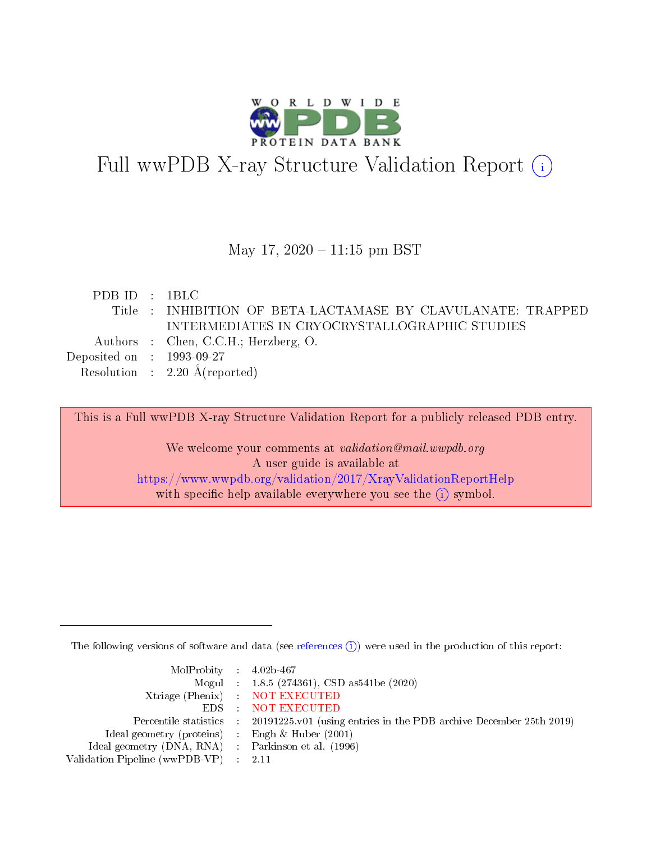

# Full wwPDB X-ray Structure Validation Report (i)

#### May 17,  $2020 - 11:15$  pm BST

| PDBID : IBLC                |                                                              |
|-----------------------------|--------------------------------------------------------------|
|                             | Title : INHIBITION OF BETA-LACTAMASE BY CLAVULANATE: TRAPPED |
|                             | INTERMEDIATES IN CRYOCRYSTALLOGRAPHIC STUDIES                |
|                             | Authors : Chen, C.C.H.; Herzberg, O.                         |
| Deposited on : $1993-09-27$ |                                                              |
|                             | Resolution : $2.20 \text{ Å}(\text{reported})$               |
|                             |                                                              |

This is a Full wwPDB X-ray Structure Validation Report for a publicly released PDB entry.

We welcome your comments at validation@mail.wwpdb.org A user guide is available at <https://www.wwpdb.org/validation/2017/XrayValidationReportHelp> with specific help available everywhere you see the  $(i)$  symbol.

The following versions of software and data (see [references](https://www.wwpdb.org/validation/2017/XrayValidationReportHelp#references)  $(i)$ ) were used in the production of this report:

| $MolProbability$ 4.02b-467                          |                                                                                            |
|-----------------------------------------------------|--------------------------------------------------------------------------------------------|
|                                                     | Mogul : 1.8.5 (274361), CSD as541be (2020)                                                 |
|                                                     | Xtriage (Phenix) NOT EXECUTED                                                              |
|                                                     | EDS : NOT EXECUTED                                                                         |
|                                                     | Percentile statistics : 20191225.v01 (using entries in the PDB archive December 25th 2019) |
| Ideal geometry (proteins) : Engh $\&$ Huber (2001)  |                                                                                            |
| Ideal geometry (DNA, RNA) : Parkinson et al. (1996) |                                                                                            |
| Validation Pipeline (wwPDB-VP) : 2.11               |                                                                                            |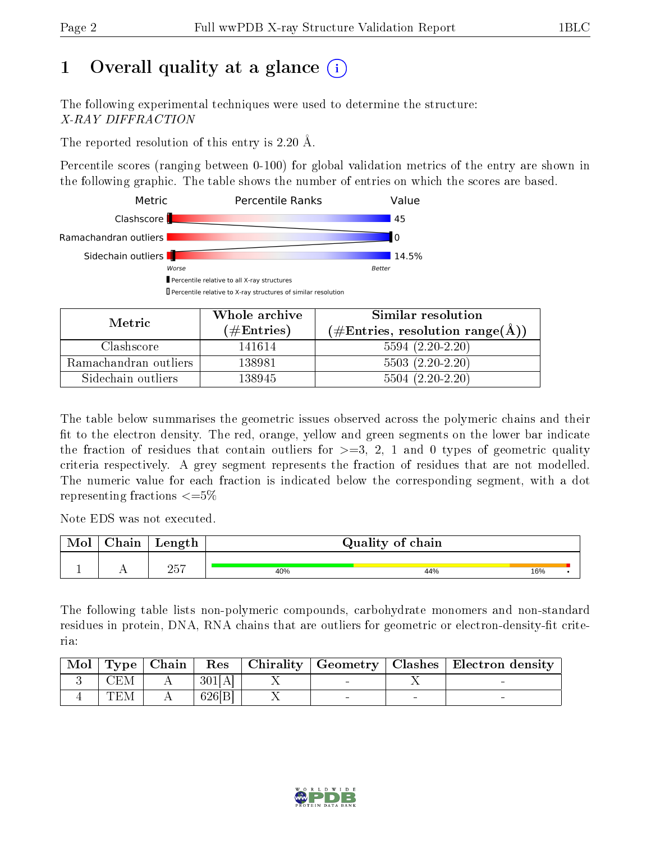## 1 [O](https://www.wwpdb.org/validation/2017/XrayValidationReportHelp#overall_quality)verall quality at a glance (i)

The following experimental techniques were used to determine the structure: X-RAY DIFFRACTION

The reported resolution of this entry is 2.20 Å.

Percentile scores (ranging between 0-100) for global validation metrics of the entry are shown in the following graphic. The table shows the number of entries on which the scores are based.



| Metric                | Whole archive        | Similar resolution                                         |
|-----------------------|----------------------|------------------------------------------------------------|
|                       | $(\#\text{Entries})$ | $(\#\text{Entries}, \text{resolution range}(\text{\AA}) )$ |
| Clashscore            | 141614               | $5594(2.20-2.20)$                                          |
| Ramachandran outliers | 138981               | $5503(2.20-2.20)$                                          |
| Sidechain outliers    | 138945               | $5504 (2.20-2.20)$                                         |

The table below summarises the geometric issues observed across the polymeric chains and their fit to the electron density. The red, orange, yellow and green segments on the lower bar indicate the fraction of residues that contain outliers for  $\geq=3$ , 2, 1 and 0 types of geometric quality criteria respectively. A grey segment represents the fraction of residues that are not modelled. The numeric value for each fraction is indicated below the corresponding segment, with a dot representing fractions  $\epsilon = 5\%$ 

Note EDS was not executed.

| Mol | ${\rm Chain}$ | Length       |     | Quality of chain |     |  |
|-----|---------------|--------------|-----|------------------|-----|--|
|     |               |              |     |                  |     |  |
|     | . .           | つにワ<br>- 40. | 40% | 44%              | 16% |  |

The following table lists non-polymeric compounds, carbohydrate monomers and non-standard residues in protein, DNA, RNA chains that are outliers for geometric or electron-density-fit criteria:

| Mol |     |        |  | Type   Chain   Res   Chirality   Geometry   Clashes   Electron density |
|-----|-----|--------|--|------------------------------------------------------------------------|
|     | CEM | 301[A] |  |                                                                        |
|     | TEM | 626 B  |  |                                                                        |

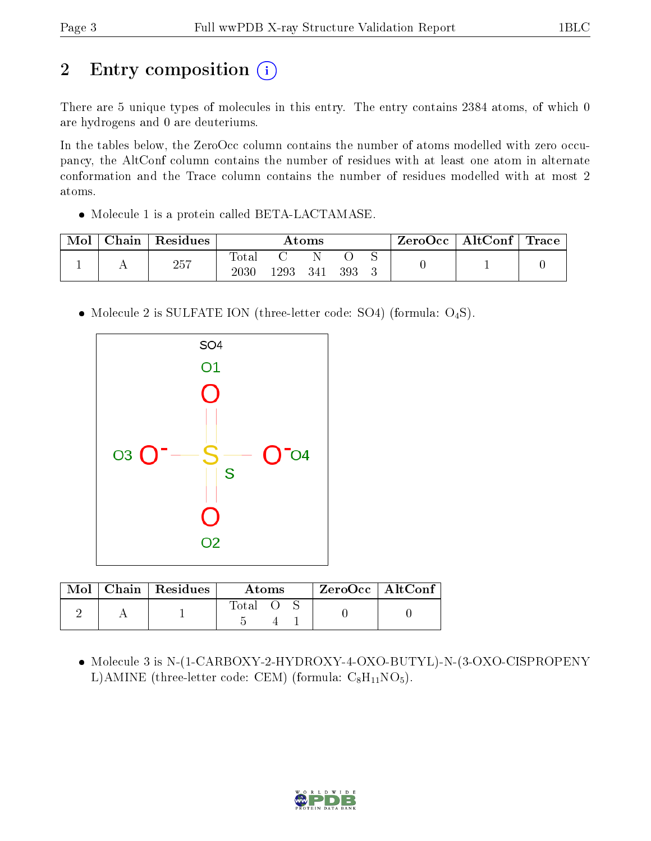## 2 Entry composition (i)

There are 5 unique types of molecules in this entry. The entry contains 2384 atoms, of which 0 are hydrogens and 0 are deuteriums.

In the tables below, the ZeroOcc column contains the number of atoms modelled with zero occupancy, the AltConf column contains the number of residues with at least one atom in alternate conformation and the Trace column contains the number of residues modelled with at most 2 atoms.

• Molecule 1 is a protein called BETA-LACTAMASE.

| $\operatorname{\mathbb{C}}$ hain | Residues | Atoms                    |      |     |     | ⊢ZeroOcc∣ | $\mid$ AltConf $\mid$ | $\operatorname{Trace}$ |  |
|----------------------------------|----------|--------------------------|------|-----|-----|-----------|-----------------------|------------------------|--|
|                                  | 257      | <b>Total</b><br>$2030\,$ | 1293 | 341 | 393 |           |                       |                        |  |

• Molecule 2 is SULFATE ION (three-letter code: SO4) (formula: O<sub>4</sub>S).



| Mol | $\Box$ Chain   Residues | Atoms |  |  | $ZeroOcc$   AltConf |  |
|-----|-------------------------|-------|--|--|---------------------|--|
|     |                         | Total |  |  |                     |  |

 Molecule 3 is N-(1-CARBOXY-2-HYDROXY-4-OXO-BUTYL)-N-(3-OXO-CISPROPENY L)AMINE (three-letter code: CEM) (formula:  $C_8H_{11}NO_5$ ).

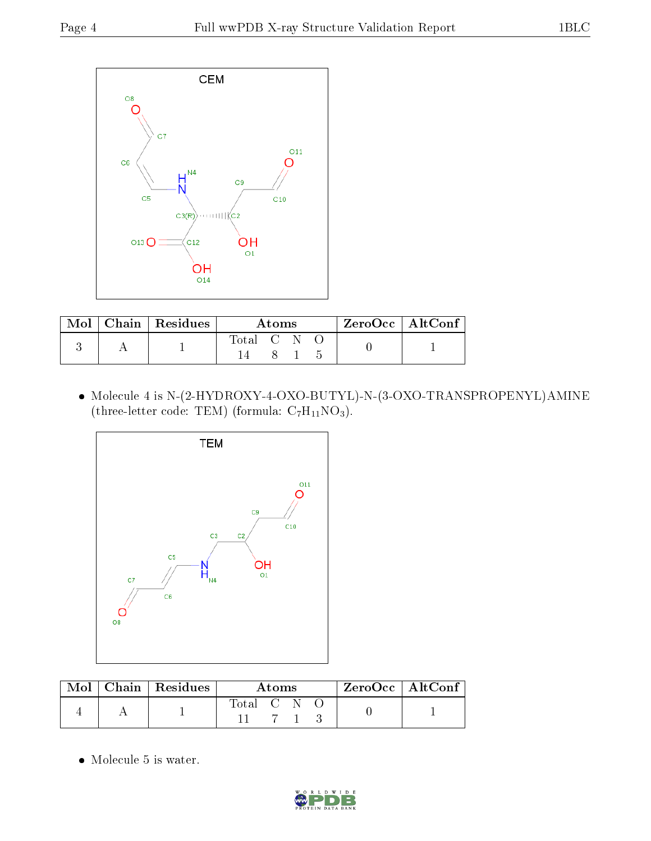

|  | $\text{Mol}$   Chain   Residues | A toms    |  |  | ZeroOcc   AltConf |  |
|--|---------------------------------|-----------|--|--|-------------------|--|
|  |                                 | Total C N |  |  |                   |  |
|  |                                 |           |  |  |                   |  |

 $\bullet$  Molecule 4 is N-(2-HYDROXY-4-OXO-BUTYL)-N-(3-OXO-TRANSPROPENYL)AMINE (three-letter code: TEM) (formula:  $C_7H_{11}NO_3$ ).



|  | $\text{Mol}$   Chain   Residues | A toms      |  |  | ZeroOcc   AltConf |  |
|--|---------------------------------|-------------|--|--|-------------------|--|
|  |                                 | Total C N O |  |  |                   |  |

• Molecule 5 is water.

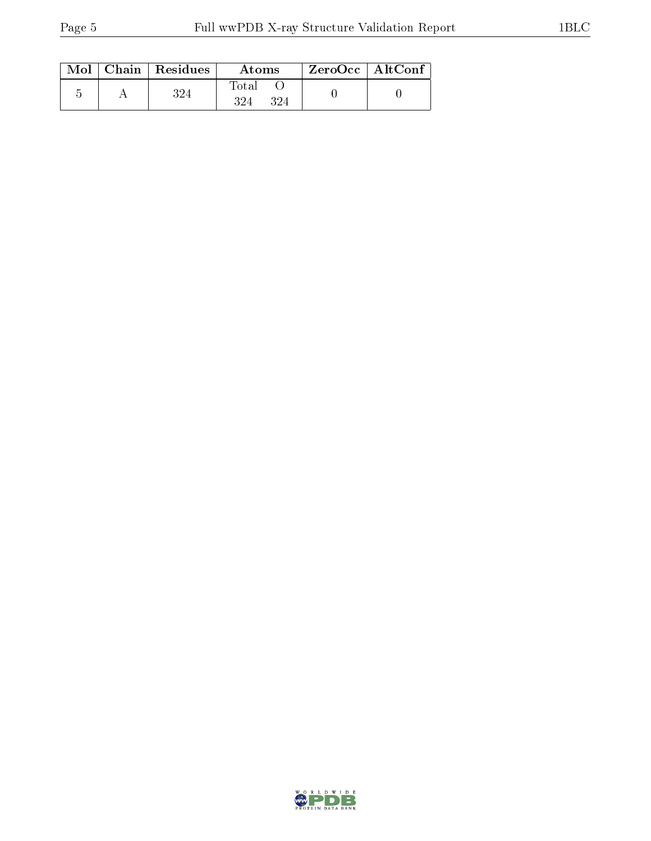|  | $Mol$   Chain   Residues | Atoms        | $ZeroOcc$   AltConf |  |
|--|--------------------------|--------------|---------------------|--|
|  |                          | Total<br>324 |                     |  |

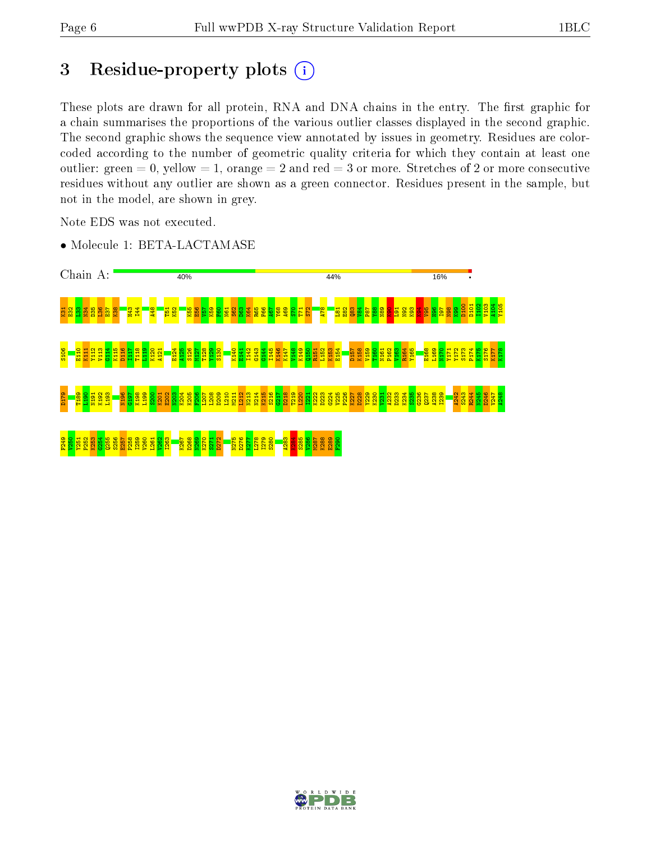## 3 Residue-property plots  $(i)$

These plots are drawn for all protein, RNA and DNA chains in the entry. The first graphic for a chain summarises the proportions of the various outlier classes displayed in the second graphic. The second graphic shows the sequence view annotated by issues in geometry. Residues are colorcoded according to the number of geometric quality criteria for which they contain at least one outlier: green  $= 0$ , yellow  $= 1$ , orange  $= 2$  and red  $= 3$  or more. Stretches of 2 or more consecutive residues without any outlier are shown as a green connector. Residues present in the sample, but not in the model, are shown in grey.

Note EDS was not executed.





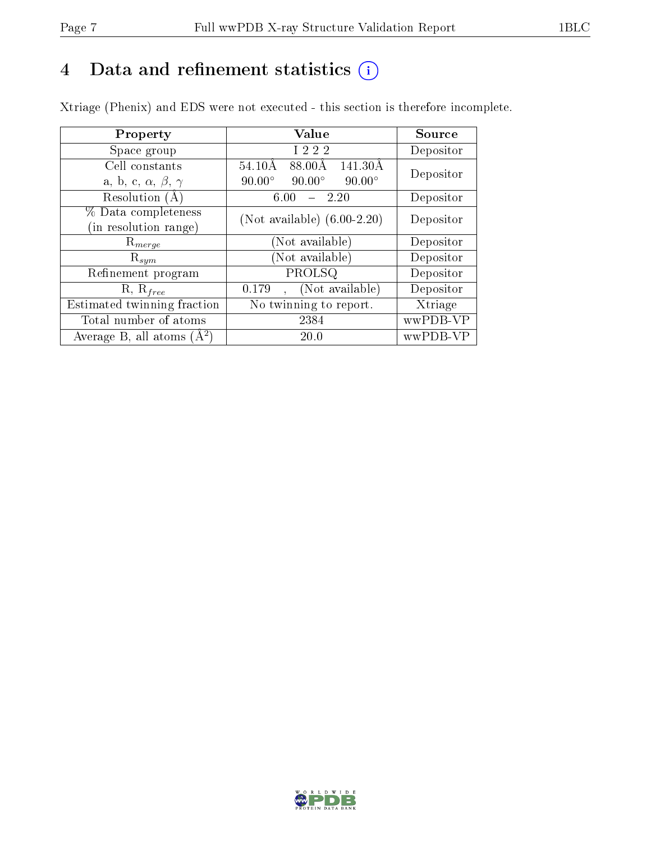## 4 Data and refinement statistics  $(i)$

Xtriage (Phenix) and EDS were not executed - this section is therefore incomplete.

| Property                               | Value                                           | <b>Source</b> |  |
|----------------------------------------|-------------------------------------------------|---------------|--|
| Space group                            | I 2 2 2                                         | Depositor     |  |
| Cell constants                         | 88.00Å<br>$54.10\text{\AA}$<br>141.30Å          | Depositor     |  |
| a, b, c, $\alpha$ , $\beta$ , $\gamma$ | $90.00^\circ$<br>$90.00^\circ$<br>$90.00^\circ$ |               |  |
| Resolution (A)                         | 2.20<br>6.00                                    | Depositor     |  |
| % Data completeness                    | (Not available) $(6.00-2.20)$                   | Depositor     |  |
| (in resolution range)                  |                                                 |               |  |
| $R_{merge}$                            | Not available)                                  | Depositor     |  |
| $\mathrm{R}_{sym}$                     | Not available)                                  | Depositor     |  |
| Refinement program                     | PROLSQ                                          | Depositor     |  |
| $R, R_{free}$                          | (Not available)<br>0.179                        | Depositor     |  |
| Estimated twinning fraction            | No twinning to report.                          | Xtriage       |  |
| Total number of atoms                  | 2384                                            | wwPDB-VP      |  |
| Average B, all atoms $(A^2)$           | 20.0                                            | wwPDB-VP      |  |

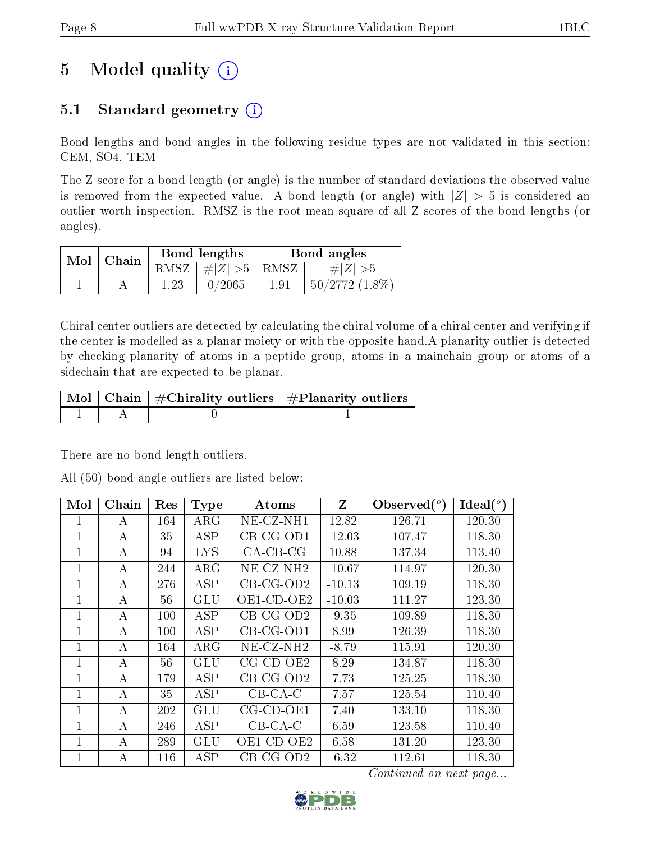## 5 Model quality  $(i)$

## 5.1 Standard geometry  $(i)$

Bond lengths and bond angles in the following residue types are not validated in this section: CEM, SO4, TEM

The Z score for a bond length (or angle) is the number of standard deviations the observed value is removed from the expected value. A bond length (or angle) with  $|Z| > 5$  is considered an outlier worth inspection. RMSZ is the root-mean-square of all Z scores of the bond lengths (or angles).

| $Mol$   Chain |      | Bond lengths                   |      | Bond angles         |
|---------------|------|--------------------------------|------|---------------------|
|               |      | RMSZ $\mid \#Z \mid >5$   RMSZ |      | $\# Z  > 5$         |
|               | 1.23 | 0/2065                         | 1.91 | $50/2772$ $(1.8\%)$ |

Chiral center outliers are detected by calculating the chiral volume of a chiral center and verifying if the center is modelled as a planar moiety or with the opposite hand.A planarity outlier is detected by checking planarity of atoms in a peptide group, atoms in a mainchain group or atoms of a sidechain that are expected to be planar.

|  | $\mid$ Mol $\mid$ Chain $\mid$ #Chirality outliers $\mid$ #Planarity outliers $\mid$ |
|--|--------------------------------------------------------------------------------------|
|  |                                                                                      |

There are no bond length outliers.

All (50) bond angle outliers are listed below:

| Mol          | Chain | Res | <b>Type</b>             | Atoms                    | Z        | Observed $(°)$ | Ideal $(^\circ)$ |
|--------------|-------|-----|-------------------------|--------------------------|----------|----------------|------------------|
| 1            | А     | 164 | $\rm{ARG}$              | NE-CZ-NH1                | 12.82    | 126.71         | 120.30           |
| 1            | А     | 35  | <b>ASP</b>              | $CB-CG-OD1$              | $-12.03$ | 107.47         | 118.30           |
| 1            | А     | 94  | <b>LYS</b>              | $CA-CB-CG$               | 10.88    | 137.34         | 113.40           |
| $\mathbf{1}$ | А     | 244 | $\rm{ARG}$              | $NE$ -CZ-NH <sub>2</sub> | $-10.67$ | 114.97         | 120.30           |
| 1            | А     | 276 | <b>ASP</b>              | $CB-CG-OD2$              | $-10.13$ | 109.19         | 118.30           |
| 1            | А     | 56  | GLU                     | OE1-CD-OE2               | $-10.03$ | 111.27         | 123.30           |
| 1            | А     | 100 | ASP                     | $CB-CG-OD2$              | $-9.35$  | 109.89         | 118.30           |
| $\mathbf{1}$ | А     | 100 | <b>ASP</b>              | $CB-CG-OD1$              | 8.99     | 126.39         | 118.30           |
| 1            | А     | 164 | $\rm{ARG}$              | $NE-CZ-NH2$              | $-8.79$  | 115.91         | 120.30           |
| 1            | А     | 56  | GLU                     | $CG$ - $CD$ - $OE2$      | 8.29     | 134.87         | 118.30           |
| $\mathbf{1}$ | А     | 179 | <b>ASP</b>              | $CB-CG-OD2$              | 7.73     | 125.25         | 118.30           |
| 1            | А     | 35  | $\overline{\text{ASP}}$ | $CB-CA-C$                | 7.57     | 125.54         | 110.40           |
| 1            | А     | 202 | GLU                     | $CG$ - $CD$ - $OE1$      | 7.40     | 133.10         | 118.30           |
| 1            | А     | 246 | <b>ASP</b>              | $CB-CA-C$                | 6.59     | 123.58         | 110.40           |
| 1            | A     | 289 | GLU                     | OE1-CD-OE2               | 6.58     | 131.20         | 123.30           |
| 1            | А     | 116 | ASP                     | $CB-CG-OD2$              | $-6.32$  | 112.61         | 118.30           |

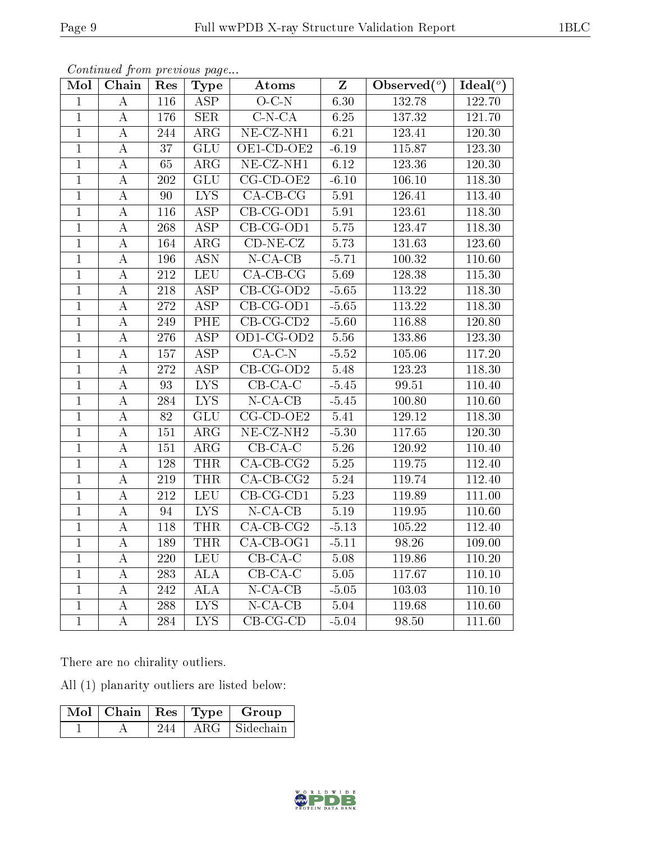| Mol            | Chain            | Res              | <b>Type</b>               | Atoms                         | $\overline{\mathbf{Z}}$ | Observed $(°)$     | Ideal $(°)$ |
|----------------|------------------|------------------|---------------------------|-------------------------------|-------------------------|--------------------|-------------|
| $\mathbf{1}$   | $\bf{A}$         | 116              | $\overline{\text{ASP}}$   | $O-C-N$                       | 6.30                    | 132.78             | 122.70      |
| $\mathbf{1}$   | $\bf{A}$         | 176              | <b>SER</b>                | $\overline{\text{C-N-CA}}$    | 6.25                    | 137.32             | 121.70      |
| $\mathbf{1}$   | $\bf{A}$         | 244              | $\overline{\text{ARG}}$   | $NE$ -CZ-NH1                  | 6.21                    | 123.41             | 120.30      |
| $\mathbf{1}$   | $\bf{A}$         | 37               | $\overline{GLU}$          | $OE1$ -CD-OE2                 | $-6.19$                 | 115.87             | 123.30      |
| $\overline{1}$ | $\bf{A}$         | 65               | $\overline{\text{ARG}}$   | $NE$ -CZ-NH1                  | 6.12                    | 123.36             | 120.30      |
| $\overline{1}$ | $\bf{A}$         | $\overline{202}$ | $\overline{\mathrm{GLU}}$ | $CG-CD-OE2$                   | $-6.10$                 | 106.10             | 118.30      |
| $\mathbf{1}$   | $\boldsymbol{A}$ | 90               | $\overline{LYS}$          | $\overline{CA-CB-CG}$         | 5.91                    | 126.41             | 113.40      |
| $\overline{1}$ | $\boldsymbol{A}$ | 116              | $\overline{\text{ASP}}$   | $\overline{\text{CB-CG-OD1}}$ | $5.91$                  | 123.61             | 118.30      |
| $\mathbf{1}$   | A                | 268              | ASP                       | CB-CG-OD1                     | 5.75                    | 123.47             | 118.30      |
| $\overline{1}$ | $\bf{A}$         | 164              | $\overline{\text{ARG}}$   | $CD-NE-CZ$                    | 5.73                    | 131.63             | 123.60      |
| $\overline{1}$ | $\bf{A}$         | 196              | <b>ASN</b>                | $N-CA-CB$                     | $-5.71$                 | 100.32             | 110.60      |
| $\mathbf{1}$   | $\boldsymbol{A}$ | $\overline{212}$ | <b>LEU</b>                | $CA-CB-CG$                    | 5.69                    | 128.38             | 115.30      |
| $\overline{1}$ | $\bf{A}$         | 218              | <b>ASP</b>                | $CB-CG-OD2$                   | $-5.65$                 | 113.22             | 118.30      |
| $\mathbf{1}$   | $\bf{A}$         | 272              | ASP                       | $CB-CG-OD1$                   | $-5.65$                 | 113.22             | 118.30      |
| $\overline{1}$ | $\bf{A}$         | 249              | <b>PHE</b>                | $CB-CG-CD2$                   | $-5.60$                 | 116.88             | 120.80      |
| $\overline{1}$ | $\boldsymbol{A}$ | 276              | $\overline{\text{ASP}}$   | $OD1$ -CG-OD2                 | 5.56                    | 133.86             | 123.30      |
| $\overline{1}$ | $\bf{A}$         | 157              | $\overline{\text{ASP}}$   | $CA-C-N$                      | $-5.52$                 | 105.06             | 117.20      |
| $\mathbf{1}$   | $\bf{A}$         | 272              | $\overline{\text{ASP}}$   | $CB-CG-OD2$                   | 5.48                    | 123.23             | 118.30      |
| $\mathbf{1}$   | A                | 93               | $\overline{\text{LYS}}$   | $\overline{\text{CB-CA-C}}$   | $-5.45$                 | $\overline{99.51}$ | 110.40      |
| $\overline{1}$ | $\bf{A}$         | 284              | <b>LYS</b>                | $N$ -CA-CB                    | $-5.45$                 | 100.80             | 110.60      |
| $\overline{1}$ | $\bf{A}$         | $\overline{82}$  | $\overline{GLU}$          | $CG-CD-OE2$                   | 5.41                    | 129.12             | 118.30      |
| $\mathbf{1}$   | A                | 151              | $\overline{\text{ARG}}$   | $NE-CZ-NH2$                   | $-5.30$                 | 117.65             | 120.30      |
| $\mathbf{1}$   | А                | 151              | $\rm{ARG}$                | $CB-CA-C$                     | $5.26\,$                | 120.92             | 110.40      |
| $\overline{1}$ | A                | 128              | <b>THR</b>                | $CA-CB-CG2$                   | 5.25                    | 119.75             | 112.40      |
| $\mathbf{1}$   | А                | 219              | <b>THR</b>                | $CA-CB-CG2$                   | 5.24                    | 119.74             | 112.40      |
| $\overline{1}$ | $\bf{A}$         | $\overline{212}$ | <b>LEU</b>                | $\overline{\text{CB-CG-CD1}}$ | 5.23                    | 119.89             | 111.00      |
| $\overline{1}$ | $\bf{A}$         | 94               | <b>LYS</b>                | $N$ -CA-CB                    | 5.19                    | 119.95             | 110.60      |
| $\mathbf{1}$   | $\bf{A}$         | 118              | <b>THR</b>                | $\overline{CA-CB-CG2}$        | $-5.13$                 | 105.22             | 112.40      |
| $\overline{1}$ | A                | 189              | <b>THR</b>                | $\overline{CA-CB-OG1}$        | $-5.11$                 | 98.26              | 109.00      |
| $\mathbf{1}$   | $\rm A$          | 220              | LEU                       | $CB-CA-C$                     | 5.08                    | 119.86             | 110.20      |
| $\mathbf{1}$   | $\boldsymbol{A}$ | 283              | <b>ALA</b>                | $CB-CA-C$                     | $5.05\,$                | 117.67             | 110.10      |
| $\mathbf{1}$   | $\bf{A}$         | 242              | <b>ALA</b>                | $N$ -CA-CB                    | $-5.05$                 | 103.03             | 110.10      |
| $\mathbf{1}$   | $\bf{A}$         | 288              | <b>LYS</b>                | $N$ -CA-CB                    | 5.04                    | 119.68             | 110.60      |
| $\overline{1}$ | $\overline{A}$   | 284              | $\overline{\text{LYS}}$   | $CB-CG-CD$                    | $-5.04$                 | 98.50              | 111.60      |

There are no chirality outliers.

All (1) planarity outliers are listed below:

|  |     | $\text{Mol}$   Chain   Res   Type   Group |
|--|-----|-------------------------------------------|
|  | 244 | ARG Sidechain                             |

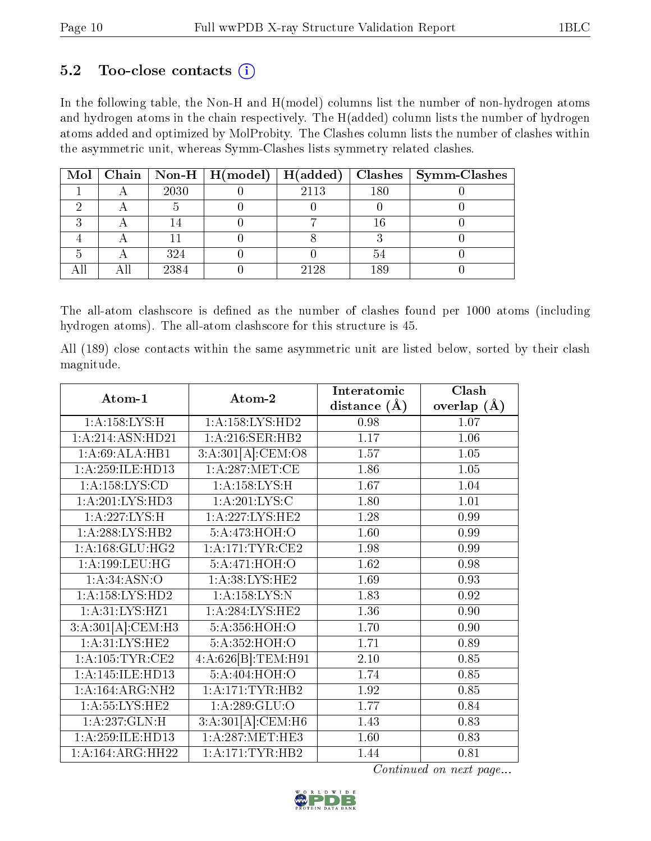### $5.2$  Too-close contacts  $(i)$

In the following table, the Non-H and H(model) columns list the number of non-hydrogen atoms and hydrogen atoms in the chain respectively. The H(added) column lists the number of hydrogen atoms added and optimized by MolProbity. The Clashes column lists the number of clashes within the asymmetric unit, whereas Symm-Clashes lists symmetry related clashes.

|  |      |      |     | Mol   Chain   Non-H   H(model)   H(added)   Clashes   Symm-Clashes |
|--|------|------|-----|--------------------------------------------------------------------|
|  | 2030 | 2113 | 180 |                                                                    |
|  |      |      |     |                                                                    |
|  |      |      |     |                                                                    |
|  |      |      |     |                                                                    |
|  | 324  |      |     |                                                                    |
|  | 2384 | 2128 | 189 |                                                                    |

The all-atom clashscore is defined as the number of clashes found per 1000 atoms (including hydrogen atoms). The all-atom clashscore for this structure is 45.

All (189) close contacts within the same asymmetric unit are listed below, sorted by their clash magnitude.

| Atom-1              | Atom-2              | Interatomic    | Clash         |
|---------------------|---------------------|----------------|---------------|
|                     |                     | distance $(A)$ | overlap $(A)$ |
| 1: A:158: LYS:H     | 1: A: 158: LYS: HD2 | 0.98           | 1.07          |
| 1:A:214:ASN:HD21    | 1:A:216:SER:HB2     | 1.17           | 1.06          |
| 1:A:69:ALA:HB1      | 3:A:301[A]:CEM:O8   | 1.57           | 1.05          |
| 1:A:259:ILE:HD13    | 1: A:287: MET:CE    | 1.86           | 1.05          |
| 1: A: 158: LYS: CD  | 1:A:158:LYS:H       | 1.67           | 1.04          |
| 1: A:201:LYS:HD3    | 1: A:201:LYS:C      | 1.80           | 1.01          |
| 1:A:227:LYS:H       | 1: A:227:LYS:HE2    | 1.28           | 0.99          |
| 1:A:288:LYS:HB2     | 5:A:473:HOH:O       | 1.60           | 0.99          |
| 1: A: 168: GLU: HG2 | 1: A:171:TYR:CE2    | 1.98           | 0.99          |
| 1:A:199:LEU:HG      | 5:A:471:HOH:O       | 1.62           | 0.98          |
| 1: A:34: ASN:O      | 1: A:38: LYS: HE2   | 1.69           | 0.93          |
| 1: A: 158: LYS: HD2 | 1: A: 158: LYS: N   | 1.83           | 0.92          |
| 1: A:31: LYS: HZ1   | 1: A:284:LYS:HE2    | 1.36           | 0.90          |
| 3:A:301[A]:CEM:H3   | 5:A:356:HOH:O       | 1.70           | 0.90          |
| 1: A:31: LYS: HE2   | 5:A:352:HOH:O       | 1.71           | 0.89          |
| 1:A:105:TYR:CE2     | 4:A:626[B]:TEM:H91  | 2.10           | 0.85          |
| 1:A:145:ILE:HD13    | 5:A:404:HOH:O       | 1.74           | 0.85          |
| 1:A:164:ARG:NH2     | 1: A:171:TYR:HB2    | 1.92           | 0.85          |
| 1: A: 55: LYS: HE2  | 1: A:289: GLU:O     | 1.77           | 0.84          |
| 1:A:237:GLN:H       | 3:A:301[A]:CEM:H6   | 1.43           | 0.83          |
| 1:A:259:ILE:HD13    | 1: A:287: MET:HE3   | 1.60           | 0.83          |
| 1:A:164:ARG:HH22    | 1: A:171:TYR:HB2    | 1.44           | 0.81          |

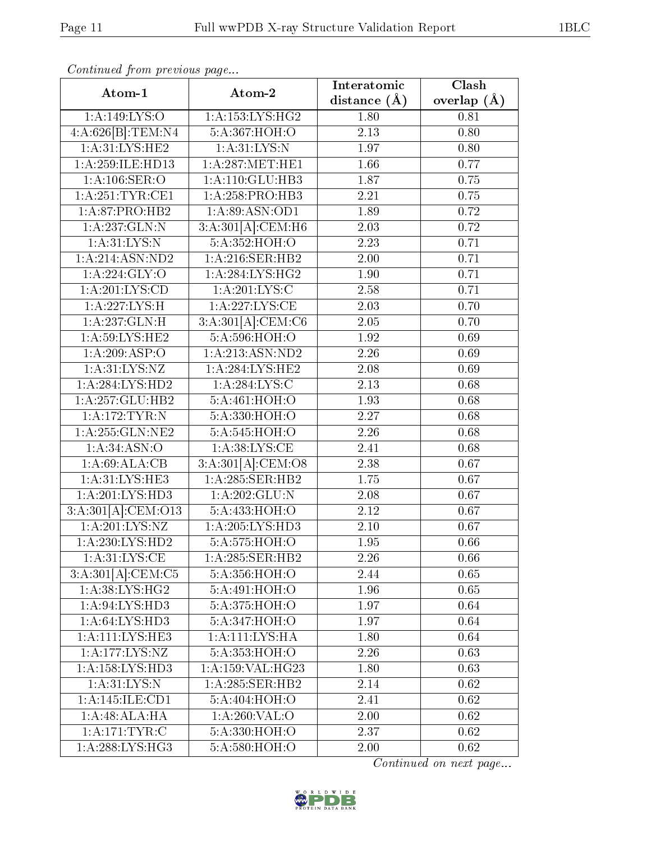| Atom-1                       | Atom-2                     | Interatomic       | Clash           |
|------------------------------|----------------------------|-------------------|-----------------|
|                              |                            | distance $(\AA)$  | overlap $(\AA)$ |
| 1:A:149:LYS:O                | 1:A:153:LYS:HG2            | 1.80              | 0.81            |
| 4:A:626[B]:TEM:N4            | 5: A:367:HOH:O             | $\overline{2.13}$ | 0.80            |
| 1: A:31: LYS: HE2            | 1: A:31: LYS:N             | 1.97              | 0.80            |
| 1:A:259:ILE:HD13             | 1:A:287:MET:HE1            | $\overline{1.66}$ | 0.77            |
| 1: A: 106: SER: O            | 1:A:110:GLU:HB3            | 1.87              | 0.75            |
| 1: A:251:TYR:CE1             | 1:A:258:PRO:HB3            | 2.21              | 0.75            |
| 1:A:87:PRO:HB2               | 1: A:89: ASN:OD1           | 1.89              | 0.72            |
| 1:A:237:GLN:N                | 3:A:301[A]:CEM:H6          | 2.03              | 0.72            |
| 1: A:31:LYS:N                | 5:A:352:HOH:O              | 2.23              | 0.71            |
| 1:A:214:ASN:ND2              | 1:A:216:SER:HB2            | 2.00              | 0.71            |
| $1: A:224: \overline{GLY:O}$ | 1:A:284:LYS:HG2            | 1.90              | 0.71            |
| $1:\overline{A:201:LYS:CD}$  | 1: A:201:LYS:C             | 2.58              | 0.71            |
| 1:A:227:LYS:H                | 1: A:227: LYS: CE          | 2.03              | 0.70            |
| 1:A:237:GLN:H                | 3:A:301[A]:CEM:C6          | 2.05              | 0.70            |
| 1: A:59: LYS: HE2            | 5:A:596:HOH:O              | 1.92              | 0.69            |
| 1:A:209:ASP:O                | 1:A:213:ASN:ND2            | 2.26              | 0.69            |
| 1:A:31:LYS:NZ                | 1:A:284:LYS:HE2            | 2.08              | 0.69            |
| 1:A:284:LYS:HD2              | 1:A:284:LYS:C              | 2.13              | 0.68            |
| 1:A:257:GLU:HB2              | $5:A:\overline{461:HOH:O}$ | 1.93              | 0.68            |
| 1: A:172:TYR:N               | 5:A:330:HOH:O              | 2.27              | 0.68            |
| 1: A: 255: GLN: NE2          | 5:A:545:HOH:O              | 2.26              | 0.68            |
| 1: A:34: ASN:O               | 1: A:38: LYS: CE           | 2.41              | 0.68            |
| 1: A:69:ALA:CB               | 3:A:301[A]:CEM:O8          | 2.38              | 0.67            |
| 1: A:31: LYS: HE3            | 1:A:285:SER:HB2            | 1.75              | 0.67            |
| 1:A:201:LYS:HD3              | 1:A:202:GLU:N              | 2.08              | 0.67            |
| 3:A:301[A]:CEM:O13           | 5:A:433:HOH:O              | 2.12              | 0.67            |
| 1:A:201:LYS:NZ               | 1: A:205:LYS:HD3           | 2.10              | 0.67            |
| 1: A:230: LYS: HD2           | 5:A:575:HOH:O              | 1.95              | 0.66            |
| 1: A:31: LYS:CE              | 1:A:285:SER:HB2            | 2.26              | 0.66            |
| 3:A:301[A]:CEM:C5            | 5: A: 356: HOH:O           | 2.44              | 0.65            |
| 1:A:38:LYS:HG2               | 5:A:491:HOH:O              | 1.96              | 0.65            |
| 1:A:94:LYS:HD3               | 5: A:375:HOH:O             | 1.97              | 0.64            |
| 1: A:64:LYS:HD3              | 5:A:347:HOH:O              | 1.97              | 0.64            |
| 1: A: 111: LYS: HE3          | 1: A: 111: LYS: HA         | 1.80              | 0.64            |
| 1:A:177:LYS:NZ               | 5: A: 353: HOH:O           | 2.26              | 0.63            |
| 1: A: 158: LYS: HD3          | 1:A:159:VAL:HG23           | 1.80              | 0.63            |
| 1: A:31: LYS: N              | 1:A:285:SER:HB2            | 2.14              | 0.62            |
| 1:A:145:ILE:CD1              | 5:A:404:HOH:O              | 2.41              | 0.62            |
| 1:A:48:ALA:HA                | 1: A:260: VAL:O            | 2.00              | 0.62            |
| 1:A:171:TYR:C                | 5:A:330:HOH:O              | 2.37              | 0.62            |
| 1:A:288:LYS:HG3              | 5:A:580:HOH:O              | 2.00              | 0.62            |

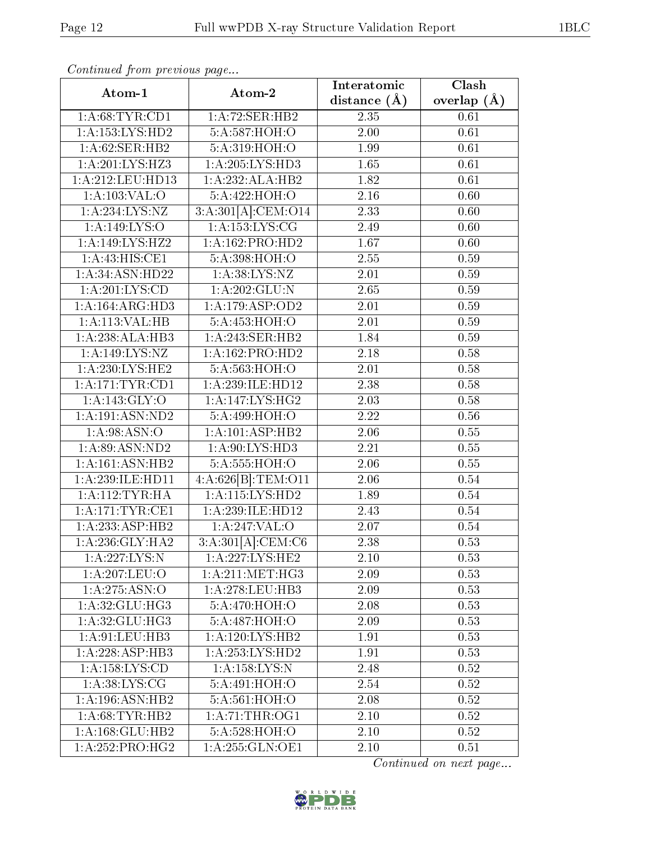|                              |                    | Interatomic       | Clash         |
|------------------------------|--------------------|-------------------|---------------|
| Atom-1                       | Atom-2             | distance $(\AA)$  | overlap $(A)$ |
| 1: A:68:TYR:CD1              | 1:A:72:SER:HB2     | 2.35              | 0.61          |
| 1:A:153:LYS:HD2              | 5: A:587:HOH:O     | 2.00              | 0.61          |
| 1:A:62:SER:HB2               | 5:A:319:HOH:O      | 1.99              | 0.61          |
| 1:A:201:LYS:HZ3              | 1:A:205:LYS:HD3    | $\overline{1.65}$ | $0.61\,$      |
| 1:A:212:LEU:HD13             | 1:A:232:ALA:HB2    | 1.82              | 0.61          |
| 1:A:103:VAL:O                | 5:A:422:HOH:O      | $\overline{2.16}$ | 0.60          |
| 1: A: 234: LYS: NZ           | 3:A:301[A]:CEM:O14 | 2.33              | 0.60          |
| 1: A:149: LYS:O              | 1: A: 153: LYS: CG | 2.49              | 0.60          |
| 1:A:149:LYS:HZ2              | 1:A:162:PRO:HD2    | 1.67              | 0.60          |
| 1:A:43:HIS:CE1               | 5:A:398:HOH:O      | 2.55              | 0.59          |
| 1:A:34:ASN:HD22              | 1: A:38: LYS: NZ   | 2.01              | 0.59          |
| 1: A:201:LYS:CD              | 1:A:202:GLU:N      | 2.65              | 0.59          |
| 1:A:164:ARG:HD3              | 1:A:179:ASP:OD2    | 2.01              | 0.59          |
| 1:A:113:VAL:HB               | 5: A:453:HOH:O     | 2.01              | 0.59          |
| 1:A:238:ALA:HB3              | 1:A:243:SER:HB2    | 1.84              | 0.59          |
| 1:A:149:LYS:NZ               | 1:A:162:PRO:HD2    | 2.18              | 0.58          |
| 1: A:230: LYS: HE2           | 5: A:563:HOH:O     | 2.01              | 0.58          |
| 1: A:171:TYR:CD1             | 1:A:239:ILE:HD12   | 2.38              | 0.58          |
| 1: A:143: GLY:O              | 1: A:147: LYS: HG2 | $2.03\,$          | 0.58          |
| 1:A:191:ASN:ND2              | 5:A:499:HOH:O      | 2.22              | 0.56          |
| 1: A:98: ASN:O               | 1:A:101:ASP:HB2    | $\overline{2.06}$ | 0.55          |
| 1:A:89:ASN:ND2               | 1:A:90:LYS:HD3     | 2.21              | 0.55          |
| 1:A:161:ASN:HB2              | 5:A:555:HOH:O      | 2.06              | 0.55          |
| 1: A:239: ILE: HD11          | 4:A:626[B]:TEM:O11 | 2.06              | $0.54\,$      |
| 1: A:112:TYR:HA              | 1:A:115:LYS:HD2    | 1.89              | $0.54\,$      |
| 1:A:171:TYR:CE1              | 1:A:239:ILE:HD12   | 2.43              | 0.54          |
| 1:A:233:ASP:HB2              | 1:A:247:VAL:O      | 2.07              | 0.54          |
| 1: A:236: GLY:HA2            | 3:A:301[A]:CEM:C6  | 2.38              | 0.53          |
| $1:$ A:227:LYS:N             | 1:A:227:LYS:HE2    | 2.10              | 0.53          |
| 1:A:207:LEU:O                | 1: A:211: MET:HG3  | 2.09              | 0.53          |
| 1: A:275: ASN:O              | 1: A:278:LEU:HB3   | $2.\overline{09}$ | 0.53          |
| 1:A:32:GLU:HG3               | 5: A:470:HOH:O     | 2.08              | 0.53          |
| 1: A:32: GLU:HG3             | 5:A:487:HOH:O      | 2.09              | 0.53          |
| 1: A:91: LEU:HB3             | 1:A:120:LYS:HB2    | 1.91              | 0.53          |
| $1:A:228:AS\overline{P:HB3}$ | 1:A:253:LYS:HD2    | 1.91              | 0.53          |
| 1: A: 158: LYS: CD           | 1: A: 158: LYS: N  | 2.48              | 0.52          |
| 1:A:38:LYS:CG                | 5:A:491:HOH:O      | 2.54              | 0.52          |
| 1:A:196:ASN:HB2              | 5:A:561:HOH:O      | 2.08              | 0.52          |
| 1: A:68:TYR:HB2              | 1: A:71:THR:OG1    | 2.10              | 0.52          |
| 1:A:168:GLU:HB2              | 5: A:528:HOH:O     | 2.10              | 0.52          |
| 1:A:252:PRO:HG2              | 1: A:255: GLN:OE1  | 2.10              | 0.51          |

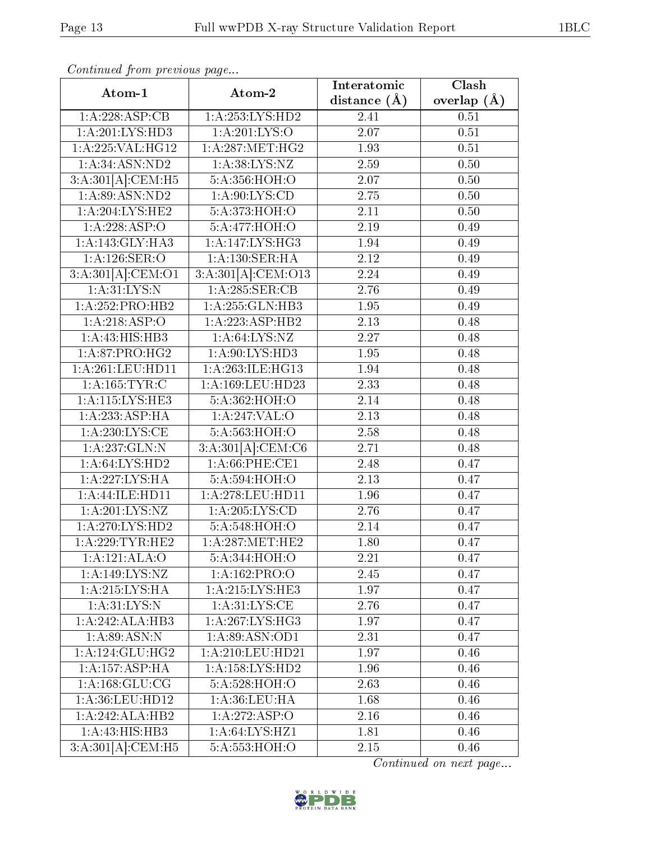| Atom-1              | Atom-2                       | Interatomic       | Clash             |
|---------------------|------------------------------|-------------------|-------------------|
|                     |                              | distance $(A)$    | overlap $(A)$     |
| 1:A:228:ASP:CB      | 1:A:253:LYS:HD2              | 2.41              | 0.51              |
| 1:A:201:LYS:HD3     | 1: A:201:LYS:O               | 2.07              | $\overline{0.51}$ |
| 1: A:225: VAL: HG12 | 1: A:287: MET:HG2            | 1.93              | 0.51              |
| 1:A:34:ASN:ND2      | 1: A:38: LYS: NZ             | 2.59              | 0.50              |
| 3:A:301[A]:CEM:H5   | 5:A:356:HOH:O                | 2.07              | 0.50              |
| 1: A:89: ASN:ND2    | 1: A:90: LYS:CD              | 2.75              | 0.50              |
| 1: A:204:LYS:HE2    | 5:A:373:HOH:O                | 2.11              | 0.50              |
| 1:A:228:ASP:O       | 5:A:477:HOH:O                | 2.19              | 0.49              |
| 1: A:143: GLY:HA3   | 1: A:147: LYS: HG3           | 1.94              | 0.49              |
| 1:A:126:SER:O       | 1: A: 130: SER: HA           | 2.12              | 0.49              |
| 3:A:301[A]:CEM:O1   | 3:A:301[A]:CEM:O13           | 2.24              | 0.49              |
| 1: A:31:LYS:N       | 1:A:285:SER:CB               | 2.76              | 0.49              |
| 1:A:252:PRO:HB2     | 1:A:255:GLN:HB3              | 1.95              | 0.49              |
| 1:A:218:ASP:O       | 1:A:223:ASP:HB2              | $\overline{2.13}$ | 0.48              |
| 1: A: 43: HIS: HB3  | 1: A:64: LYS:NZ              | 2.27              | 0.48              |
| 1:A:87:PRO:HG2      | 1:A:90:LYS:HD3               | 1.95              | 0.48              |
| 1:A:261:LEU:HD11    | 1:A:263:ILE:HG13             | 1.94              | 0.48              |
| 1:A:165:TYR:C       | 1:A:169:LEU:HD23             | 2.33              | 0.48              |
| 1:A:115:LYS:HE3     | 5:A:362:HOH:O                | 2.14              | 0.48              |
| 1:A:233:ASP:HA      | 1:A:247:VAL:O                | 2.13              | 0.48              |
| 1: A:230:LYS:CE     | 5: A:563:HOH:O               | 2.58              | 0.48              |
| 1:A:237:GLN:N       | 3:A:301[A]:CEM:C6            | 2.71              | 0.48              |
| 1:A:64:LYS:HD2      | 1: A:66:PHE:CE1              | 2.48              | 0.47              |
| 1:A:227:LYS:HA      | 5:A:594:HOH:O                | 2.13              | 0.47              |
| 1:A:44:ILE:HD11     | 1:A:278:LEU:HD11             | 1.96              | 0.47              |
| 1: A:201:LYS:NZ     | 1: A:205:LYS:CD              | 2.76              | 0.47              |
| 1: A:270: LYS: HD2  | 5:A:548:HOH:O                | 2.14              | 0.47              |
| 1: A:229:TYR:HE2    | 1: A:287:MET:HE2             | 1.80              | 0.47              |
| 1:A:121:ALA:O       | 5: A:344:HOH:O               | $\overline{2.21}$ | 0.47              |
| 1: A: 149: LYS: NZ  | 1:A:162:PRO:O                | 2.45              | 0.47              |
| 1: A:215:LYS:HA     | 1:A:215:LYS:HE3              | 1.97              | 0.47              |
| 1: A:31: LYS: N     | 1: A:31: LYS: CE             | 2.76              | 0.47              |
| 1:A:242:ALA:HB3     | $1:\overline{A:267:LYS:HG3}$ | 1.97              | 0.47              |
| 1: A:89: ASN: N     | 1: A:89: ASN:OD1             | 2.31              | 0.47              |
| 1: A:124: GLU: HG2  | 1:A:210:LEU:HD21             | 1.97              | 0.46              |
| 1:A:157:ASP:HA      | 1: A: 158: LYS: HD2          | 1.96              | 0.46              |
| 1: A: 168: GLU: CG  | 5:A:528:HOH:O                | 2.63              | 0.46              |
| 1:A:36:LEU:HD12     | 1: A:36:LEU:HA               | 1.68              | 0.46              |
| 1:A:242:ALA:HB2     | 1:A:272:ASP:O                | 2.16              | 0.46              |
| 1:A:43:HIS:HB3      | 1: A:64: LYS:HZ1             | 1.81              | 0.46              |
| 3:A:301[A]:CEM:H5   | $5:A:553:\overline{HOH:O}$   | 2.15              | 0.46              |

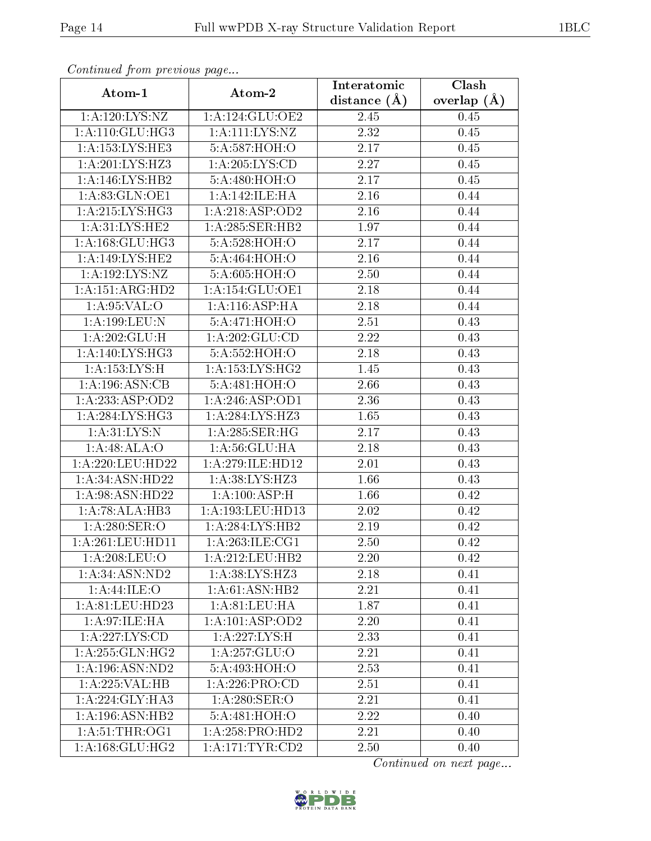| Atom-1                     | Atom-2                      | Interatomic       | Clash         |
|----------------------------|-----------------------------|-------------------|---------------|
|                            |                             | distance $(\AA)$  | overlap $(A)$ |
| $1:$ A:120: LYS: NZ        | 1: A: 124: GLU: OE2         | 2.45              | 0.45          |
| 1:A:110:GLU:HG3            | $1:A:\overline{111:LYS:NZ}$ | 2.32              | 0.45          |
| 1:A:153:LYS:HE3            | 5:A:587:HOH:O               | 2.17              | 0.45          |
| 1:A:201:LYS:HZ3            | 1: A:205:LYS:CD             | 2.27              | 0.45          |
| 1: A:146: LYS: HB2         | 5:A:480:HOH:O               | 2.17              | 0.45          |
| 1:A:83:GLN:OE1             | 1:A:142:ILE:HA              | 2.16              | 0.44          |
| 1:A:215:LYS:HG3            | 1: A:218: ASP:OD2           | 2.16              | 0.44          |
| 1: A:31: LYS: HE2          | 1:A:285:SER:HB2             | 1.97              | 0.44          |
| 1: A: 168: GLU: HG3        | 5:A:528:HOH:O               | 2.17              | 0.44          |
| 1:A:149:LYS:HE2            | 5: A:464: HOH:O             | 2.16              | 0.44          |
| 1:A:192:LYS:NZ             | 5: A:605: HOH:O             | 2.50              | 0.44          |
| 1:A:151:ARG:HD2            | 1:A:154:GLU:OE1             | 2.18              | 0.44          |
| 1: A:95:VAL:O              | 1:A:116:ASP:HA              | 2.18              | 0.44          |
| 1:A:199:LEU:N              | 5: A:471:HOH:O              | 2.51              | 0.43          |
| $1:A:202:GLU:\overline{H}$ | 1: A:202: GLU:CD            | 2.22              | 0.43          |
| 1: A:140: LYS: HG3         | 5: A:552:HOH:O              | 2.18              | 0.43          |
| 1: A: 153: LYS:H           | 1: A: 153: LYS: HG2         | 1.45              | 0.43          |
| 1:A:196:ASN:CB             | 5:A:481:HOH:O               | 2.66              | 0.43          |
| 1:A:233:ASP:OD2            | 1:A:246:ASP:OD1             | 2.36              | 0.43          |
| 1: A:284:LYS:HG3           | 1:A:284:LYS:HZ3             | 1.65              | 0.43          |
| 1: A:31: LYS: N            | 1: A:285: SER:HG            | $\overline{2.17}$ | 0.43          |
| 1:A:48:ALA:O               | 1: A:56: GLU: HA            | 2.18              | 0.43          |
| 1:A:220:LEU:HD22           | 1:A:279:ILE:HD12            | 2.01              | 0.43          |
| 1:A:34:ASN:HD22            | 1:A:38:LYS:HZ3              | 1.66              | 0.43          |
| 1:A:98:ASN:HD22            | 1: A:100:ASP:H              | 1.66              | 0.42          |
| 1:A:78:ALA:HB3             | 1:A:193:LEU:HD13            | 2.02              | 0.42          |
| 1: A:280: SER:O            | 1: A:284:LYS:HB2            | 2.19              | 0.42          |
| 1: A:261:LEU:HD11          | 1:A:263:ILE:CG1             | 2.50              | 0.42          |
| 1:A:208:LEU:O              | 1:A:212:LEU:HB2             | 2.20              | 0.42          |
| 1: A:34: ASN:ND2           | 1:A:38:LYS:HZ3              | 2.18              | 0.41          |
| 1:A:44:ILE:O               | $1:A:61:A\overline{SN:HB2}$ | 2.21              | 0.41          |
| 1:A:81:LEU:HD23            | 1: A:81:LEU:HA              | 1.87              | 0.41          |
| 1: A:97: ILE: HA           | 1:A:101:ASP:OD2             | 2.20              | 0.41          |
| 1:A:227:LYS:CD             | 1:A:227:LYS:H               | 2.33              | 0.41          |
| 1:A:255:GLN:HG2            | 1:A:257:GLU:O               | 2.21              | 0.41          |
| 1:A:196:ASN:ND2            | 5:A:493:HOH:O               | 2.53              | 0.41          |
| 1:A:225:VAL:HB             | 1: A:226: PRO:CD            | 2.51              | 0.41          |
| 1: A:224: GLY:HA3          | $1: A:280:$ SER:O           | 2.21              | 0.41          |
| 1: A:196: ASN:HB2          | 5:A:481:HOH:O               | 2.22              | 0.40          |
| 1: A:51:THR:OG1            | 1:A:258:PRO:HD2             | 2.21              | 0.40          |
| 1: A: 168: GLU: HG2        | 1: A:171:TYR:CD2            | 2.50              | 0.40          |

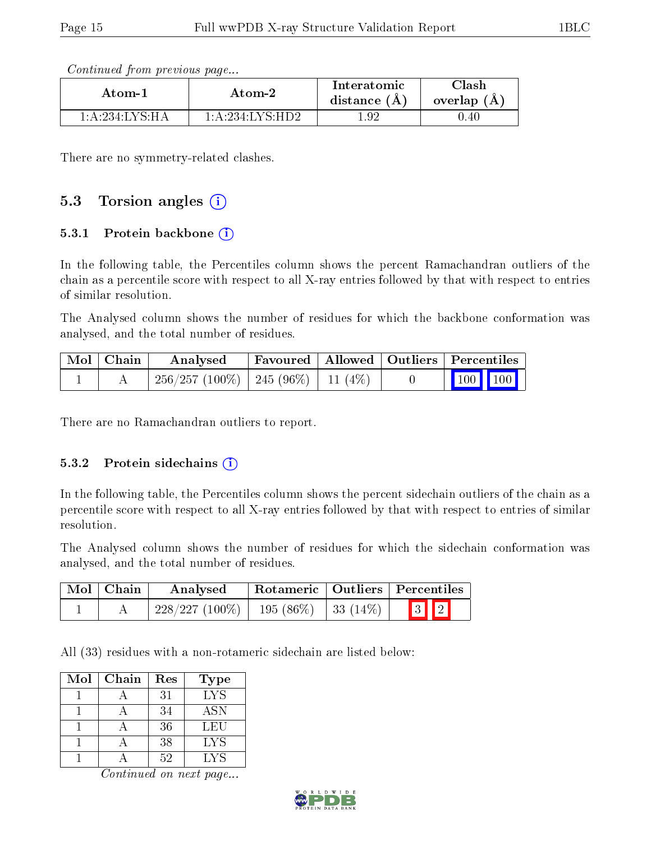| Continued from previous page |  |  |
|------------------------------|--|--|
|                              |  |  |

| Atom-1            | Atom-2           | Interatomic<br>distance $(A)$ | $\gamma$ lash<br>overlap (A) |
|-------------------|------------------|-------------------------------|------------------------------|
| $1:$ A:234:LYS·HA | 1: A:234:LYS:HD2 | Q.9                           | 0.40                         |

There are no symmetry-related clashes.

### 5.3 Torsion angles  $(i)$

#### 5.3.1 Protein backbone  $(i)$

In the following table, the Percentiles column shows the percent Ramachandran outliers of the chain as a percentile score with respect to all X-ray entries followed by that with respect to entries of similar resolution.

The Analysed column shows the number of residues for which the backbone conformation was analysed, and the total number of residues.

| Mol   Chain | Analysed                                  | Favoured   Allowed   Outliers   Percentiles |  |                                                                                    |  |
|-------------|-------------------------------------------|---------------------------------------------|--|------------------------------------------------------------------------------------|--|
|             | $256/257 (100\%)$   245 (96\%)   11 (4\%) |                                             |  | $\begin{array}{ c c c c c }\n\hline\n\multicolumn{1}{ c }{100} & 100\n\end{array}$ |  |

There are no Ramachandran outliers to report.

#### 5.3.2 Protein sidechains (i)

In the following table, the Percentiles column shows the percent sidechain outliers of the chain as a percentile score with respect to all X-ray entries followed by that with respect to entries of similar resolution.

The Analysed column shows the number of residues for which the sidechain conformation was analysed, and the total number of residues.

| Mol   Chain | $^+$ Rotameric $\mid$ Outliers $\mid$ Percentiles<br>Analysed |  |                         |  |
|-------------|---------------------------------------------------------------|--|-------------------------|--|
|             | $228/227 (100\%)$   195 (86\%)   33 (14\%)                    |  | $\boxed{3}$ $\boxed{2}$ |  |

All (33) residues with a non-rotameric sidechain are listed below:

| Mol | Chain | Res | Type       |
|-----|-------|-----|------------|
|     |       | 31  | <b>LYS</b> |
|     |       | 34  | <b>ASN</b> |
|     |       | 36  | LEU        |
|     |       | 38  | LYS        |
|     |       | 59  | LYS        |

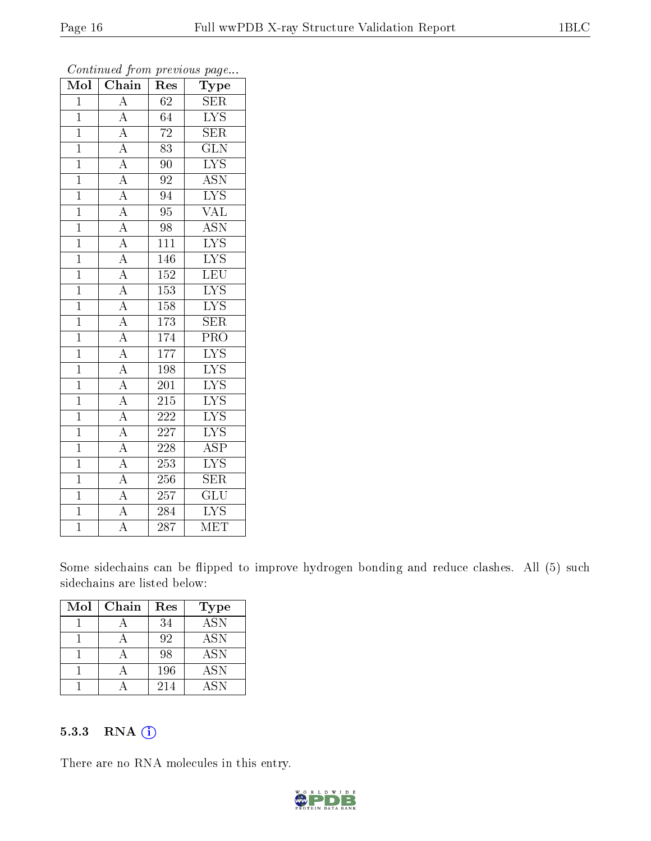| Mol            | $\overline{\text{Chain}}$                                                                                                                                                                                                                                                                                                                                                                                                                                               | Res                                    | ${\bf Type}$              |
|----------------|-------------------------------------------------------------------------------------------------------------------------------------------------------------------------------------------------------------------------------------------------------------------------------------------------------------------------------------------------------------------------------------------------------------------------------------------------------------------------|----------------------------------------|---------------------------|
| $\overline{1}$ | $\overline{A}$                                                                                                                                                                                                                                                                                                                                                                                                                                                          | 62                                     | <b>SER</b>                |
| $\overline{1}$ | $\overline{A}$                                                                                                                                                                                                                                                                                                                                                                                                                                                          | 64                                     | $\overline{\text{LYS}}$   |
| $\overline{1}$ |                                                                                                                                                                                                                                                                                                                                                                                                                                                                         | $\overline{72}$                        | $\overline{\text{SER}}$   |
| $\mathbf{1}$   |                                                                                                                                                                                                                                                                                                                                                                                                                                                                         | 83                                     | $\overline{\text{GLN}}$   |
| $\overline{1}$ |                                                                                                                                                                                                                                                                                                                                                                                                                                                                         | $\overline{90}$                        | $\overline{\text{LYS}}$   |
| $\mathbf{1}$   |                                                                                                                                                                                                                                                                                                                                                                                                                                                                         | $\overline{92}$                        | $\overline{\text{ASN}}$   |
| $\overline{1}$ |                                                                                                                                                                                                                                                                                                                                                                                                                                                                         | 94                                     | $\overline{\text{LYS}}$   |
| $\overline{1}$ |                                                                                                                                                                                                                                                                                                                                                                                                                                                                         | $\overline{95}$                        | $\overline{\text{VAL}}$   |
| $\overline{1}$ |                                                                                                                                                                                                                                                                                                                                                                                                                                                                         | $\overline{98}$                        | $\overline{\mathrm{ASN}}$ |
| $\overline{1}$ |                                                                                                                                                                                                                                                                                                                                                                                                                                                                         | $11\overline{1}$                       | $\overline{\text{LYS}}$   |
| $\mathbf{1}$   |                                                                                                                                                                                                                                                                                                                                                                                                                                                                         | $\overline{146}$                       | $\overline{\text{LYS}}$   |
| $\overline{1}$ |                                                                                                                                                                                                                                                                                                                                                                                                                                                                         | 152                                    | $\overline{\text{LEU}}$   |
| $\overline{1}$ |                                                                                                                                                                                                                                                                                                                                                                                                                                                                         | 153                                    | $\overline{\text{LYS}}$   |
| $\overline{1}$ |                                                                                                                                                                                                                                                                                                                                                                                                                                                                         | 158                                    | $\overline{\rm LYS}$      |
| $\overline{1}$ |                                                                                                                                                                                                                                                                                                                                                                                                                                                                         | 173                                    | $\overline{\text{SER}}$   |
| $\overline{1}$ |                                                                                                                                                                                                                                                                                                                                                                                                                                                                         | 174                                    | $\overline{\text{PRO}}$   |
| $\mathbf{1}$   |                                                                                                                                                                                                                                                                                                                                                                                                                                                                         | 177                                    | $\overline{\text{LYS}}$   |
| $\overline{1}$ |                                                                                                                                                                                                                                                                                                                                                                                                                                                                         | 198                                    | $\overline{\text{LYS}}$   |
| $\mathbf{1}$   |                                                                                                                                                                                                                                                                                                                                                                                                                                                                         | $\overline{201}$                       | $\overline{\text{LYS}}$   |
| $\overline{1}$ |                                                                                                                                                                                                                                                                                                                                                                                                                                                                         | 215                                    | $\overline{\text{LYS}}$   |
| $\overline{1}$ |                                                                                                                                                                                                                                                                                                                                                                                                                                                                         | $\overline{2}\overline{2}\overline{2}$ | $\overline{\text{LYS}}$   |
| $\overline{1}$ |                                                                                                                                                                                                                                                                                                                                                                                                                                                                         | 227                                    | $\overline{\text{LYS}}$   |
| $\overline{1}$ |                                                                                                                                                                                                                                                                                                                                                                                                                                                                         | 228                                    | $\overline{\text{ASP}}$   |
| $\overline{1}$ |                                                                                                                                                                                                                                                                                                                                                                                                                                                                         | $\overline{253}$                       | $\overline{\mathrm{LYS}}$ |
| $\overline{1}$ | $\frac{\frac{1}{\mathbf{A}}\mathbf{A}}{\mathbf{A}}\frac{\mathbf{A}}{\mathbf{A}}\frac{\mathbf{A}}{\mathbf{A}}\frac{\mathbf{A}}{\mathbf{A}}\frac{\mathbf{A}}{\mathbf{A}}\frac{\mathbf{A}}{\mathbf{A}}\frac{\mathbf{A}}{\mathbf{A}}\frac{\mathbf{A}}{\mathbf{A}}\frac{\mathbf{A}}{\mathbf{A}}\frac{\mathbf{A}}{\mathbf{A}}\frac{\mathbf{A}}{\mathbf{A}}\frac{\mathbf{A}}{\mathbf{A}}\frac{\mathbf{A}}{\mathbf{A}}\frac{\mathbf{A}}{\mathbf{A}}\frac{\mathbf{A}}{\mathbf{A$ | 256                                    | $\overline{\text{SER}}$   |
| $\mathbf{1}$   |                                                                                                                                                                                                                                                                                                                                                                                                                                                                         | 257                                    | $\overline{\text{GLU}}$   |
| $\overline{1}$ | $\overline{A}$                                                                                                                                                                                                                                                                                                                                                                                                                                                          | 284                                    | $\overline{\text{LYS}}$   |
| $\overline{1}$ | $\overline{\rm A}$                                                                                                                                                                                                                                                                                                                                                                                                                                                      | $\overline{287}$                       | $\overline{\text{MET}}$   |

Some sidechains can be flipped to improve hydrogen bonding and reduce clashes. All (5) such sidechains are listed below:

| Mol | Chain | Res | <b>Type</b>      |
|-----|-------|-----|------------------|
|     |       | 34  | $\overline{ASN}$ |
|     |       | 92  | <b>ASN</b>       |
|     |       | 98  | <b>ASN</b>       |
|     |       | 196 | <b>ASN</b>       |
|     |       | 214 | ASN              |

#### 5.3.3 RNA (i)

There are no RNA molecules in this entry.

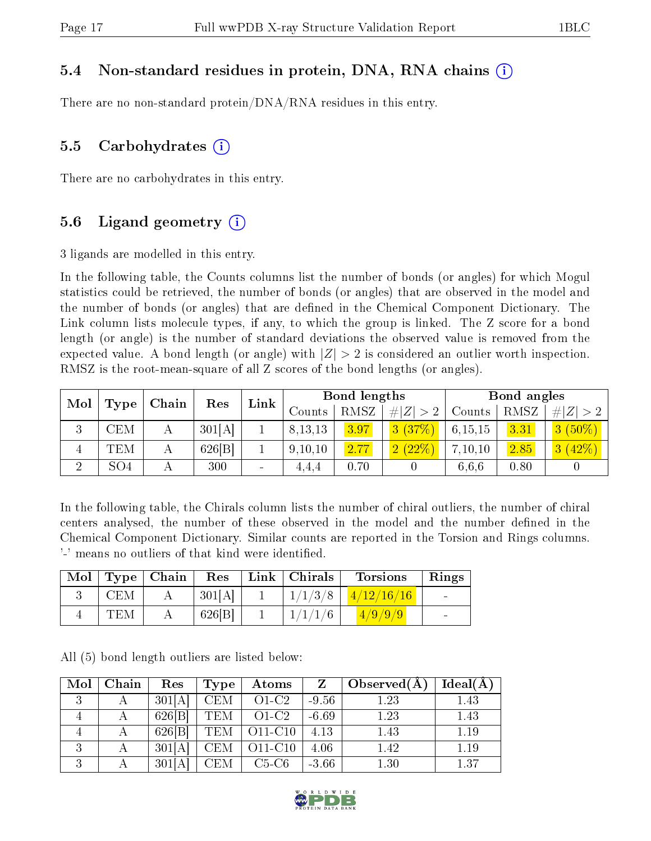#### 5.4 Non-standard residues in protein, DNA, RNA chains (i)

There are no non-standard protein/DNA/RNA residues in this entry.

#### 5.5 Carbohydrates  $(i)$

There are no carbohydrates in this entry.

#### 5.6 Ligand geometry  $(i)$

3 ligands are modelled in this entry.

In the following table, the Counts columns list the number of bonds (or angles) for which Mogul statistics could be retrieved, the number of bonds (or angles) that are observed in the model and the number of bonds (or angles) that are dened in the Chemical Component Dictionary. The Link column lists molecule types, if any, to which the group is linked. The Z score for a bond length (or angle) is the number of standard deviations the observed value is removed from the expected value. A bond length (or angle) with  $|Z| > 2$  is considered an outlier worth inspection. RMSZ is the root-mean-square of all Z scores of the bond lengths (or angles).

| Mol    | Type            | Chain |        | Link                     |           | Bond lengths |             |         | Bond angles    |             |  |
|--------|-----------------|-------|--------|--------------------------|-----------|--------------|-------------|---------|----------------|-------------|--|
|        |                 |       | Res    |                          | Counts    | RMSZ         | $\# Z  > 2$ | Counts  | RMSZ           | $\# Z  > 2$ |  |
| ົ<br>Ð | CEM             |       | 301[A] |                          | 8, 13, 13 | 3.97         | 3(37%)      | 6,15,15 | 3.31           | $3(50\%)$   |  |
| 4      | TEM             |       | 626 B  |                          | 9,10,10   | 2.77         | 2(22%)      | 7,10,10 | $\boxed{2.85}$ | 3(42%)      |  |
| ച      | SO <sub>4</sub> |       | 300    | $\overline{\phantom{a}}$ | 4.4.4     | 0.70         |             | 6,6,6   | 0.80           |             |  |

In the following table, the Chirals column lists the number of chiral outliers, the number of chiral centers analysed, the number of these observed in the model and the number defined in the Chemical Component Dictionary. Similar counts are reported in the Torsion and Rings columns. '-' means no outliers of that kind were identified.

| Mol |            | $\vert$ Type $\vert$ Chain | Res    | Link   Christmas | <b>Torsions</b>             | Rings           |
|-----|------------|----------------------------|--------|------------------|-----------------------------|-----------------|
|     | <b>CEM</b> | $\bm{A}$                   | 301[A] | 1/1/3/8          | $\mid \mid 4/12/16/16 \mid$ | <b>Contract</b> |
|     | <b>TEM</b> |                            | 626 B  | 1/1/1/6          | (4/9/9/9)                   |                 |

All (5) bond length outliers are listed below:

| Mol                 | Chain | Res    | Type       | Atoms   | Z       | Observed $(A)$ | Ideal(A) |
|---------------------|-------|--------|------------|---------|---------|----------------|----------|
| $\mathbf{Q}$<br>- 1 |       | 301[A] | <b>CEM</b> | $O1-C2$ | $-9.56$ | 1.23           | 1.43     |
|                     |       | 626 B  | <b>TEM</b> | $O1-C2$ | $-6.69$ | 1.23           | 1.43     |
|                     |       | 626 B  | <b>TEM</b> | O11-C10 | 4.13    | 1.43           | 1.19     |
| - 1                 |       | 301[A] | CEM        | O11-C10 | 4.06    | 1.42           | 1.19     |
| - 1                 |       | 301[A] | CEM        | $C5-C6$ | $-3.66$ | 1.30           | 1.37     |

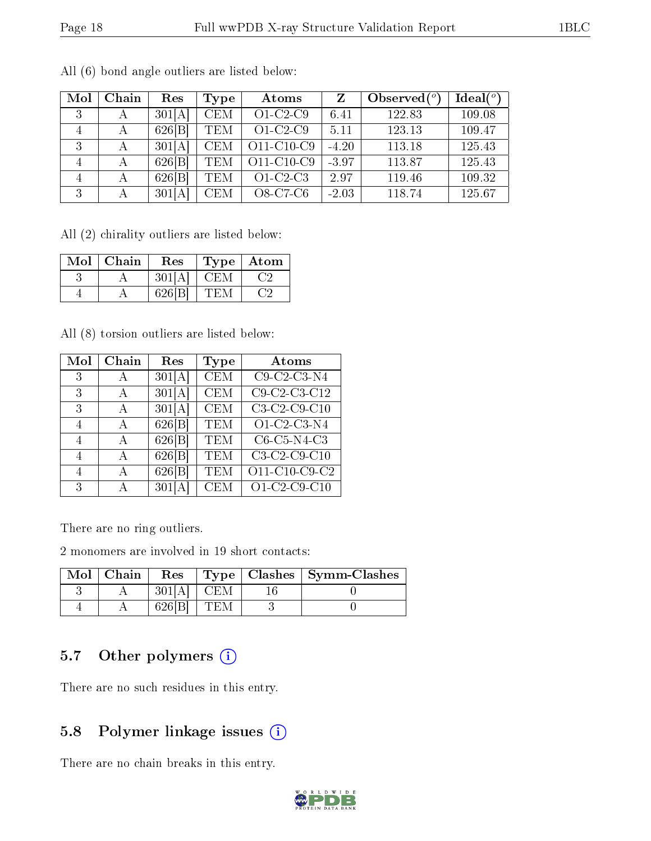| Mol            | Chain       | Res    | Type       | Atoms      |         | Observed $(°)$ | Ideal $(°)$ |
|----------------|-------------|--------|------------|------------|---------|----------------|-------------|
| 3              | А           | 301[A] | <b>CEM</b> | $O1-C2-C9$ | 6.41    | 122.83         | 109.08      |
| 4              | А           | 626 B  | <b>TEM</b> | $O1-C2-C9$ | 5.11    | 123.13         | 109.47      |
| 3              | $\mathbf A$ | 301[A] | <b>CEM</b> | O11-C10-C9 | $-4.20$ | 113.18         | 125.43      |
| $\overline{4}$ | А           | 626 B  | <b>TEM</b> | O11-C10-C9 | $-3.97$ | 113.87         | 125.43      |
| 4              | А           | 626 B  | <b>TEM</b> | $O1-C2-C3$ | 2.97    | 119.46         | 109.32      |
| 3              | А           | 301[A] | <b>CEM</b> | O8-C7-C6   | $-2.03$ | 118.74         | 125.67      |

All (6) bond angle outliers are listed below:

All (2) chirality outliers are listed below:

| Mol | Chain | Res    | Type | Atom |
|-----|-------|--------|------|------|
|     |       | 301[A] | CEM  |      |
|     |       | 626 B  | ∸H\N |      |

All (8) torsion outliers are listed below:

| Mol | Chain        | Res    | Type                    | Atoms                                       |
|-----|--------------|--------|-------------------------|---------------------------------------------|
| 3   | А            | 301[A] | $\overline{\text{CEM}}$ | $C9-C2-C3-N4$                               |
| 3   | А            | 301[A] | <b>CEM</b>              | $C9-C2-C3-C12$                              |
| 3   | A            | 301[A] | $\overline{\text{CEM}}$ | $C3-C2-C9-C10$                              |
| 4   | A            | 626 B  | <b>TEM</b>              | O1-C2-C3-N4                                 |
| 4   | $\mathbf{A}$ | 626 B  | TEM                     | C6-C5-N4-C3                                 |
| 4   | А            | 626 B  | <b>TEM</b>              | $C3-C2-C9-C10$                              |
| 4   | A            | 626[B] | TEM                     | $\overline{O11-C10}$ -C9-C2                 |
| 3   | А            | 301[A] | CEM                     | $\overline{O1 \cdot C2 \cdot C9 \cdot C10}$ |

There are no ring outliers.

2 monomers are involved in 19 short contacts:

| Mol | ∣ Chain | Res    |      | $Type   Classhes   Symm-Classes$ |
|-----|---------|--------|------|----------------------------------|
|     |         | 301[A] | CEM  |                                  |
|     |         | 626 B  | I EM |                                  |

### 5.7 [O](https://www.wwpdb.org/validation/2017/XrayValidationReportHelp#nonstandard_residues_and_ligands)ther polymers (i)

There are no such residues in this entry.

## 5.8 Polymer linkage issues (i)

There are no chain breaks in this entry.